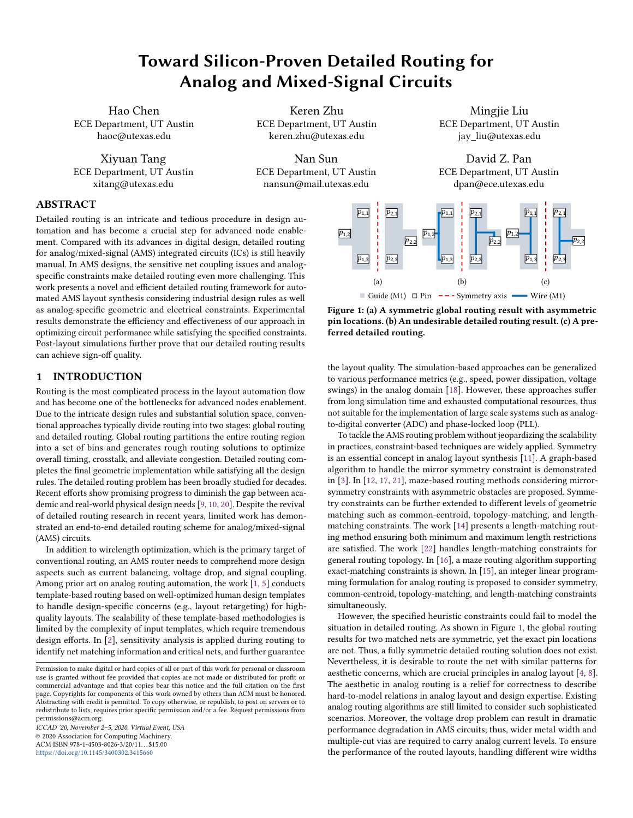# Toward Silicon-Proven Detailed Routing for Analog and Mixed-Signal Circuits

Hao Chen ECE Department, UT Austin haoc@utexas.edu

Xiyuan Tang ECE Department, UT Austin xitang@utexas.edu

Keren Zhu ECE Department, UT Austin keren.zhu@utexas.edu

Nan Sun ECE Department, UT Austin nansun@mail.utexas.edu

Mingjie Liu ECE Department, UT Austin jay\_liu@utexas.edu

David Z. Pan ECE Department, UT Austin dpan@ece.utexas.edu



## ABSTRACT

Detailed routing is an intricate and tedious procedure in design automation and has become a crucial step for advanced node enablement. Compared with its advances in digital design, detailed routing for analog/mixed-signal (AMS) integrated circuits (ICs) is still heavily manual. In AMS designs, the sensitive net coupling issues and analogspecific constraints make detailed routing even more challenging. This work presents a novel and efficient detailed routing framework for automated AMS layout synthesis considering industrial design rules as well as analog-specific geometric and electrical constraints. Experimental results demonstrate the efficiency and effectiveness of our approach in optimizing circuit performance while satisfying the specified constraints. Post-layout simulations further prove that our detailed routing results can achieve sign-off quality.

## 1 INTRODUCTION

Routing is the most complicated process in the layout automation flow and has become one of the bottlenecks for advanced nodes enablement. Due to the intricate design rules and substantial solution space, conventional approaches typically divide routing into two stages: global routing and detailed routing. Global routing partitions the entire routing region into a set of bins and generates rough routing solutions to optimize overall timing, crosstalk, and alleviate congestion. Detailed routing completes the final geometric implementation while satisfying all the design rules. The detailed routing problem has been broadly studied for decades. Recent efforts show promising progress to diminish the gap between academic and real-world physical design needs [\[9,](#page-7-0) [10,](#page-7-1) [20\]](#page-7-2). Despite the revival of detailed routing research in recent years, limited work has demonstrated an end-to-end detailed routing scheme for analog/mixed-signal (AMS) circuits.

In addition to wirelength optimization, which is the primary target of conventional routing, an AMS router needs to comprehend more design aspects such as current balancing, voltage drop, and signal coupling. Among prior art on analog routing automation, the work [\[1,](#page-7-3) [5\]](#page-7-4) conducts template-based routing based on well-optimized human design templates to handle design-specific concerns (e.g., layout retargeting) for highquality layouts. The scalability of these template-based methodologies is limited by the complexity of input templates, which require tremendous design efforts. In [\[2\]](#page-7-5), sensitivity analysis is applied during routing to identify net matching information and critical nets, and further guarantee

ICCAD '20, November 2–5, 2020, Virtual Event, USA © 2020 Association for Computing Machinery. ACM ISBN 978-1-4503-8026-3/20/11. . . \$15.00 <https://doi.org/10.1145/3400302.3415660>

<span id="page-0-0"></span>

Figure 1: (a) A symmetric global routing result with asymmetric pin locations. (b) An undesirable detailed routing result. (c) A preferred detailed routing.

the layout quality. The simulation-based approaches can be generalized to various performance metrics (e.g., speed, power dissipation, voltage swings) in the analog domain [\[18\]](#page-7-6). However, these approaches suffer from long simulation time and exhausted computational resources, thus not suitable for the implementation of large scale systems such as analogto-digital converter (ADC) and phase-locked loop (PLL).

To tackle the AMS routing problem without jeopardizing the scalability in practices, constraint-based techniques are widely applied. Symmetry is an essential concept in analog layout synthesis [\[11\]](#page-7-7). A graph-based algorithm to handle the mirror symmetry constraint is demonstrated in [\[3\]](#page-7-8). In [\[12,](#page-7-9) [17,](#page-7-10) [21\]](#page-7-11), maze-based routing methods considering mirrorsymmetry constraints with asymmetric obstacles are proposed. Symmetry constraints can be further extended to different levels of geometric matching such as common-centroid, topology-matching, and lengthmatching constraints. The work [\[14\]](#page-7-12) presents a length-matching routing method ensuring both minimum and maximum length restrictions are satisfied. The work [\[22\]](#page-7-13) handles length-matching constraints for general routing topology. In [\[16\]](#page-7-14), a maze routing algorithm supporting exact-matching constraints is shown. In [\[15\]](#page-7-15), an integer linear programming formulation for analog routing is proposed to consider symmetry, common-centroid, topology-matching, and length-matching constraints simultaneously.

However, the specified heuristic constraints could fail to model the situation in detailed routing. As shown in Figure [1,](#page-0-0) the global routing results for two matched nets are symmetric, yet the exact pin locations are not. Thus, a fully symmetric detailed routing solution does not exist. Nevertheless, it is desirable to route the net with similar patterns for aesthetic concerns, which are crucial principles in analog layout [\[4,](#page-7-16) [8\]](#page-7-17). The aesthetic in analog routing is a relief for correctness to describe hard-to-model relations in analog layout and design expertise. Existing analog routing algorithms are still limited to consider such sophisticated scenarios. Moreover, the voltage drop problem can result in dramatic performance degradation in AMS circuits; thus, wider metal width and multiple-cut vias are required to carry analog current levels. To ensure the performance of the routed layouts, handling different wire widths

Permission to make digital or hard copies of all or part of this work for personal or classroom use is granted without fee provided that copies are not made or distributed for profit or commercial advantage and that copies bear this notice and the full citation on the first page. Copyrights for components of this work owned by others than ACM must be honored. Abstracting with credit is permitted. To copy otherwise, or republish, to post on servers or to redistribute to lists, requires prior specific permission and/or a fee. Request permissions from permissions@acm.org.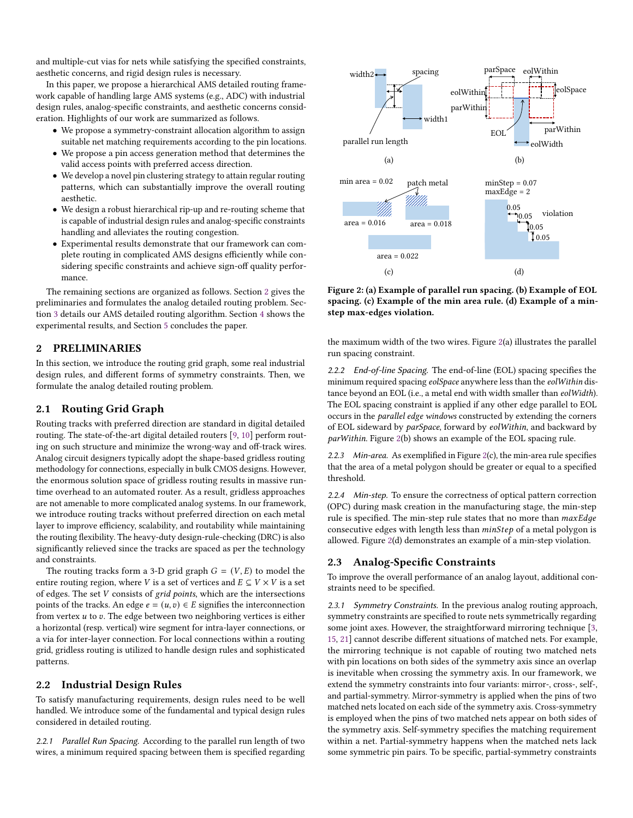and multiple-cut vias for nets while satisfying the specified constraints, aesthetic concerns, and rigid design rules is necessary.

In this paper, we propose a hierarchical AMS detailed routing framework capable of handling large AMS systems (e.g., ADC) with industrial design rules, analog-specific constraints, and aesthetic concerns consideration. Highlights of our work are summarized as follows.

- We propose a symmetry-constraint allocation algorithm to assign suitable net matching requirements according to the pin locations.
- We propose a pin access generation method that determines the valid access points with preferred access direction.
- We develop a novel pin clustering strategy to attain regular routing patterns, which can substantially improve the overall routing aesthetic.
- We design a robust hierarchical rip-up and re-routing scheme that is capable of industrial design rules and analog-specific constraints handling and alleviates the routing congestion.
- Experimental results demonstrate that our framework can complete routing in complicated AMS designs efficiently while considering specific constraints and achieve sign-off quality performance.

The remaining sections are organized as follows. Section [2](#page-1-0) gives the preliminaries and formulates the analog detailed routing problem. Section [3](#page-2-0) details our AMS detailed routing algorithm. Section [4](#page-5-0) shows the experimental results, and Section [5](#page-7-18) concludes the paper.

#### <span id="page-1-0"></span>2 PRELIMINARIES

In this section, we introduce the routing grid graph, some real industrial design rules, and different forms of symmetry constraints. Then, we formulate the analog detailed routing problem.

### 2.1 Routing Grid Graph

Routing tracks with preferred direction are standard in digital detailed routing. The state-of-the-art digital detailed routers [\[9,](#page-7-0) [10\]](#page-7-1) perform routing on such structure and minimize the wrong-way and off-track wires. Analog circuit designers typically adopt the shape-based gridless routing methodology for connections, especially in bulk CMOS designs. However, the enormous solution space of gridless routing results in massive runtime overhead to an automated router. As a result, gridless approaches are not amenable to more complicated analog systems. In our framework, we introduce routing tracks without preferred direction on each metal layer to improve efficiency, scalability, and routability while maintaining the routing flexibility. The heavy-duty design-rule-checking (DRC) is also significantly relieved since the tracks are spaced as per the technology and constraints.

The routing tracks form a 3-D grid graph  $G = (V, E)$  to model the entire routing region, where *V* is a set of vertices and  $E \subseteq V \times V$  is a set of edges. The set  $V$  consists of grid points, which are the intersections points of the tracks. An edge  $e = (u, v) \in E$  signifies the interconnection from vertex  $u$  to  $v$ . The edge between two neighboring vertices is either a horizontal (resp. vertical) wire segment for intra-layer connections, or a via for inter-layer connection. For local connections within a routing grid, gridless routing is utilized to handle design rules and sophisticated patterns.

#### <span id="page-1-3"></span>2.2 Industrial Design Rules

To satisfy manufacturing requirements, design rules need to be well handled. We introduce some of the fundamental and typical design rules considered in detailed routing.

2.2.1 Parallel Run Spacing. According to the parallel run length of two wires, a minimum required spacing between them is specified regarding

<span id="page-1-1"></span>

Figure 2: (a) Example of parallel run spacing. (b) Example of EOL spacing. (c) Example of the min area rule. (d) Example of a minstep max-edges violation.

the maximum width of the two wires. Figure [2\(](#page-1-1)a) illustrates the parallel run spacing constraint.

2.2.2 End-of-line Spacing. The end-of-line (EOL) spacing specifies the minimum required spacing eolSpace anywhere less than the eolWithin distance beyond an EOL (i.e., a metal end with width smaller than eolWidth). The EOL spacing constraint is applied if any other edge parallel to EOL occurs in the parallel edge windows constructed by extending the corners of EOL sideward by parSpace, forward by eolWithin, and backward by parWithin. Figure [2\(](#page-1-1)b) shows an example of the EOL spacing rule.

2.2.3 Min-area. As exemplified in Figure  $2(c)$  $2(c)$ , the min-area rule specifies that the area of a metal polygon should be greater or equal to a specified threshold.

2.2.4 Min-step. To ensure the correctness of optical pattern correction (OPC) during mask creation in the manufacturing stage, the min-step rule is specified. The min-step rule states that no more than  $maxEdge$ consecutive edges with length less than  $minStep$  of a metal polygon is allowed. Figure [2\(](#page-1-1)d) demonstrates an example of a min-step violation.

### 2.3 Analog-Specific Constraints

To improve the overall performance of an analog layout, additional constraints need to be specified.

<span id="page-1-2"></span>2.3.1 Symmetry Constraints. In the previous analog routing approach, symmetry constraints are specified to route nets symmetrically regarding some joint axes. However, the straightforward mirroring technique [\[3,](#page-7-8) [15,](#page-7-15) [21\]](#page-7-11) cannot describe different situations of matched nets. For example, the mirroring technique is not capable of routing two matched nets with pin locations on both sides of the symmetry axis since an overlap is inevitable when crossing the symmetry axis. In our framework, we extend the symmetry constraints into four variants: mirror-, cross-, self-, and partial-symmetry. Mirror-symmetry is applied when the pins of two matched nets located on each side of the symmetry axis. Cross-symmetry is employed when the pins of two matched nets appear on both sides of the symmetry axis. Self-symmetry specifies the matching requirement within a net. Partial-symmetry happens when the matched nets lack some symmetric pin pairs. To be specific, partial-symmetry constraints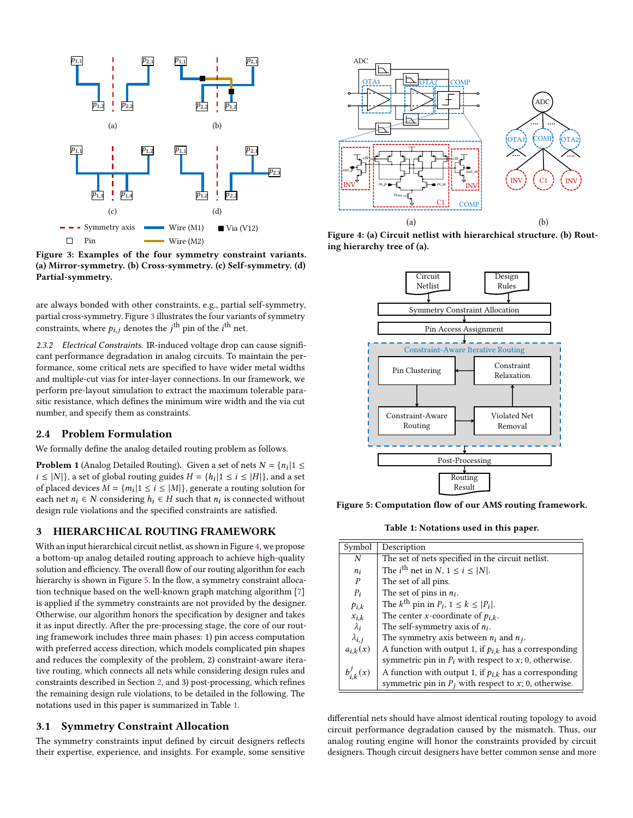<span id="page-2-1"></span>

Figure 3: Examples of the four symmetry constraint variants. (a) Mirror-symmetry. (b) Cross-symmetry. (c) Self-symmetry. (d) Partial-symmetry.

are always bonded with other constraints, e.g., partial self-symmetry, partial cross-symmetry. Figure [3](#page-2-1) illustrates the four variants of symmetry constraints, where  $p_{i,j}$  denotes the  $j^{\text{th}}$  pin of the  $i^{\text{th}}$  net.

2.3.2 Electrical Constraints. IR-induced voltage drop can cause significant performance degradation in analog circuits. To maintain the performance, some critical nets are specified to have wider metal widths and multiple-cut vias for inter-layer connections. In our framework, we perform pre-layout simulation to extract the maximum tolerable parasitic resistance, which defines the minimum wire width and the via cut number, and specify them as constraints.

#### 2.4 Problem Formulation

We formally define the analog detailed routing problem as follows.

**Problem 1** (Analog Detailed Routing). Given a set of nets  $N = \{n_i | 1 \leq$  $i \leq |N|$ , a set of global routing guides  $H = \{h_i | 1 \leq i \leq |H|\}$ , and a set of placed devices  $M = \{m_i | 1 \le i \le |M|\}$ , generate a routing solution for each net  $n_i \in N$  considering  $h_i \in H$  such that  $n_i$  is connected without design rule violations and the specified constraints are satisfied.

#### <span id="page-2-0"></span>3 HIERARCHICAL ROUTING FRAMEWORK

With an input hierarchical circuit netlist, as shown in Figure [4,](#page-2-2) we propose a bottom-up analog detailed routing approach to achieve high-quality solution and efficiency. The overall flow of our routing algorithm for each hierarchy is shown in Figure [5.](#page-2-3) In the flow, a symmetry constraint allocation technique based on the well-known graph matching algorithm [\[7\]](#page-7-19) is applied if the symmetry constraints are not provided by the designer. Otherwise, our algorithm honors the specification by designer and takes it as input directly. After the pre-processing stage, the core of our routing framework includes three main phases: 1) pin access computation with preferred access direction, which models complicated pin shapes and reduces the complexity of the problem, 2) constraint-aware iterative routing, which connects all nets while considering design rules and constraints described in Section [2,](#page-1-0) and 3) post-processing, which refines the remaining design rule violations, to be detailed in the following. The notations used in this paper is summarized in Table [1.](#page-2-4)

### 3.1 Symmetry Constraint Allocation

The symmetry constraints input defined by circuit designers reflects their expertise, experience, and insights. For example, some sensitive

<span id="page-2-2"></span>

Figure 4: (a) Circuit netlist with hierarchical structure. (b) Routing hierarchy tree of (a).

<span id="page-2-3"></span>

<span id="page-2-4"></span>Figure 5: Computation flow of our AMS routing framework.

Table 1: Notations used in this paper.

| Symbol                                               | Description                                                                                                              |
|------------------------------------------------------|--------------------------------------------------------------------------------------------------------------------------|
| N                                                    | The set of nets specified in the circuit netlist.                                                                        |
| $n_i$                                                | The <i>i</i> <sup>th</sup> net in <i>N</i> , $1 \le i \le  N $ .                                                         |
| $\boldsymbol{P}$                                     | The set of all pins.                                                                                                     |
| $P_i$                                                | The set of pins in $n_i$ .                                                                                               |
| $p_{i,k}$                                            | The $k^{\text{th}}$ pin in $P_i$ , $1 \leq k \leq  P_i $ .                                                               |
|                                                      | The center <i>x</i> -coordinate of $p_{i,k}$ .                                                                           |
| $\overset{x_{i,k}}{\underset{\lambda_i}{\lambda_i}}$ | The self-symmetry axis of $n_i$ .                                                                                        |
| $\lambda_{i,j}$                                      | The symmetry axis between $n_i$ and $n_j$ .                                                                              |
| $a_{i,k}(x)$                                         | A function with output 1, if $p_{i,k}$ has a corresponding<br>symmetric pin in $P_i$ with respect to x; 0, otherwise.    |
|                                                      |                                                                                                                          |
| $b_{i,k}^j(x)$                                       | A function with output 1, if $p_{i,k}$ has a corresponding<br>symmetric pin in $P_j$ with respect to $x$ ; 0, otherwise. |

differential nets should have almost identical routing topology to avoid circuit performance degradation caused by the mismatch. Thus, our analog routing engine will honor the constraints provided by circuit designers. Though circuit designers have better common sense and more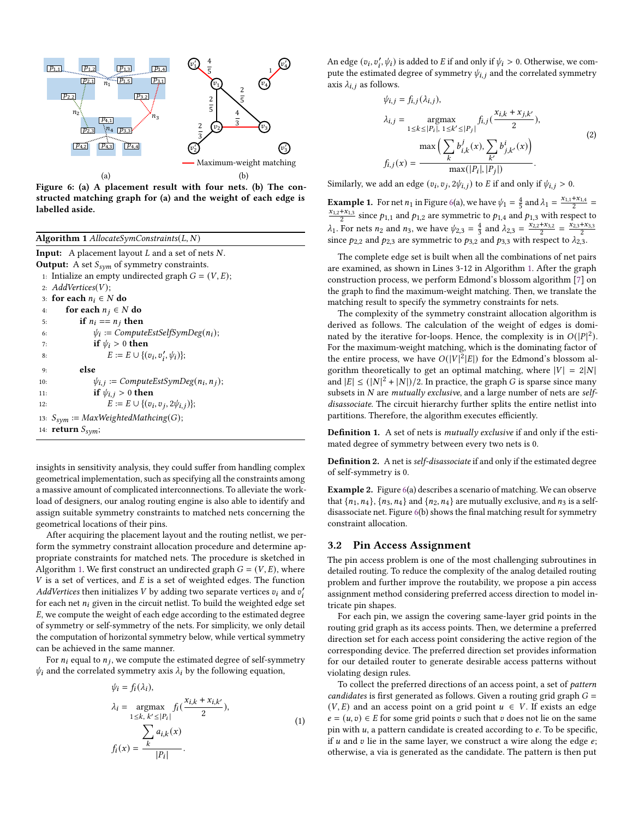<span id="page-3-1"></span>

Figure 6: (a) A placement result with four nets. (b) The constructed matching graph for (a) and the weight of each edge is labelled aside.

<span id="page-3-0"></span>

| Algorithm 1 $\text{AllocateSymConstraints}(L, N)$                          |  |  |  |  |
|----------------------------------------------------------------------------|--|--|--|--|
| <b>Input:</b> A placement layout $L$ and a set of nets $N$ .               |  |  |  |  |
| <b>Output:</b> A set $S_{sym}$ of symmetry constraints.                    |  |  |  |  |
| 1: Initalize an empty undirected graph $G = (V, E)$ ;                      |  |  |  |  |
| 2: $AddVertices(V);$                                                       |  |  |  |  |
| 3: for each $n_i \in N$ do                                                 |  |  |  |  |
| for each $n_i \in N$ do<br>4:                                              |  |  |  |  |
| if $n_i == n_j$ then<br>5:                                                 |  |  |  |  |
| $\psi_i := ComputeEstSelfSymDeg(n_i);$<br>6:                               |  |  |  |  |
| if $\psi_i > 0$ then<br>7:                                                 |  |  |  |  |
| $E := E \cup \{(v_i, v'_i, \psi_i)\};$<br>8:                               |  |  |  |  |
| else<br>9:                                                                 |  |  |  |  |
| $\psi_{i,j}$ := ComputeEstSymDeg(n <sub>i</sub> , n <sub>j</sub> );<br>10: |  |  |  |  |
| if $\psi_{i,j} > 0$ then<br>11:                                            |  |  |  |  |
| $E := E \cup \{(v_i, v_j, 2\psi_{i,j})\};$<br>12:                          |  |  |  |  |
| 13: $S_{sym} := MaxWeightedMathcing(G);$                                   |  |  |  |  |
| 14: <b>return</b> $S_{sym}$ ;                                              |  |  |  |  |

insights in sensitivity analysis, they could suffer from handling complex geometrical implementation, such as specifying all the constraints among a massive amount of complicated interconnections. To alleviate the workload of designers, our analog routing engine is also able to identify and assign suitable symmetry constraints to matched nets concerning the geometrical locations of their pins.

After acquiring the placement layout and the routing netlist, we perform the symmetry constraint allocation procedure and determine appropriate constraints for matched nets. The procedure is sketched in Algorithm [1.](#page-3-0) We first construct an undirected graph  $G = (V, E)$ , where  $V$  is a set of vertices, and  $E$  is a set of weighted edges. The function AddVertices then initializes V by adding two separate vertices  $v_i$  and  $v'_i$ for each net  $n_i$  given in the circuit netlist. To build the weighted edge set , we compute the weight of each edge according to the estimated degree of symmetry or self-symmetry of the nets. For simplicity, we only detail the computation of horizontal symmetry below, while vertical symmetry can be achieved in the same manner.

For  $n_i$  equal to  $n_j$ , we compute the estimated degree of self-symmetry  $\psi_i$  and the correlated symmetry axis  $\lambda_i$  by the following equation,

<span id="page-3-3"></span>
$$
\psi_i = f_i(\lambda_i),
$$
  
\n
$$
\lambda_i = \underset{1 \le k, k' \le |P_i|}{\operatorname{argmax}} f_i(\frac{x_{i,k} + x_{i,k'}}{2}),
$$
  
\n
$$
\sum_{j} a_{i,k}(x)
$$
  
\n
$$
f_i(x) = \frac{\sum_k a_{i,k}(x)}{|P_i|}.
$$
\n(1)

An edge  $(v_i, v'_i, \psi_i)$  is added to *E* if and only if  $\psi_i > 0$ . Otherwise, we compute the estimated degree of symmetry  $\psi_{i,j}$  and the correlated symmetry axis  $\lambda_{i,j}$  as follows.

<span id="page-3-2"></span>
$$
\psi_{i,j} = f_{i,j}(\lambda_{i,j}),
$$
\n
$$
\lambda_{i,j} = \underset{1 \le k \le |P_i|, \ 1 \le k' \le |P_j|}{\text{argmax}} f_{i,j}(\frac{x_{i,k} + x_{j,k'}}{2}),
$$
\n
$$
\max\left(\sum_{k} b_{i,k}^j(x), \sum_{k'} b_{j,k'}^i(x)\right)
$$
\n
$$
f_{i,j}(x) = \frac{\max(|P_i|, |P_j|)}{\max(|P_i|, |P_j|)}.
$$
\n(2)

Similarly, we add an edge  $(v_i, v_j, 2\psi_{i,j})$  to E if and only if  $\psi_{i,j} > 0$ .

**Example 1.** For net  $n_1$  in Figure [6\(](#page-3-1)a), we have  $\psi_1 = \frac{4}{5}$  and  $\lambda_1 = \frac{x_{1,1} + x_{1,4}}{2}$  $\frac{x_{1,2}+x_{1,3}}{2}$  since  $p_{1,1}$  and  $p_{1,2}$  are symmetric to  $p_{1,4}$  and  $p_{1,3}$  with respect to  $\lambda_1$ . For nets  $n_2$  and  $n_3$ , we have  $\psi_{2,3} = \frac{4}{3}$  and  $\lambda_{2,3} = \frac{x_{2,3}+x_{3,3}}{2} = \frac{x_{2,3}+x_{3,3}}{2}$ since  $p_{2,2}$  and  $p_{2,3}$  are symmetric to  $p_{3,2}$  and  $p_{3,3}$  with respect to  $\lambda_{2,3}$ .

The complete edge set is built when all the combinations of net pairs are examined, as shown in Lines 3-12 in Algorithm [1.](#page-3-0) After the graph construction process, we perform Edmond's blossom algorithm [\[7\]](#page-7-19) on the graph to find the maximum-weight matching. Then, we translate the matching result to specify the symmetry constraints for nets.

The complexity of the symmetry constraint allocation algorithm is derived as follows. The calculation of the weight of edges is dominated by the iterative for-loops. Hence, the complexity is in  $O(|P|^2)$ . For the maximum-weight matching, which is the dominating factor of the entire process, we have  $O(|V|^2|E|)$  for the Edmond's blossom algorithm theoretically to get an optimal matching, where  $|V| = 2|N|$ and  $|E| \leq (|N|^2 + |N|)/2$ . In practice, the graph G is sparse since many subsets in  $N$  are mutually exclusive, and a large number of nets are selfdisassociate. The circuit hierarchy further splits the entire netlist into partitions. Therefore, the algorithm executes efficiently.

Definition 1. A set of nets is mutually exclusive if and only if the estimated degree of symmetry between every two nets is 0.

Definition 2. A net is self-disassociate if and only if the estimated degree of self-symmetry is 0.

Example 2. Figure [6\(](#page-3-1)a) describes a scenario of matching. We can observe that  $\{n_1, n_4\}$ ,  $\{n_3, n_4\}$  and  $\{n_2, n_4\}$  are mutually exclusive, and  $n_3$  is a selfdisassociate net. Figure [6\(](#page-3-1)b) shows the final matching result for symmetry constraint allocation.

#### 3.2 Pin Access Assignment

The pin access problem is one of the most challenging subroutines in detailed routing. To reduce the complexity of the analog detailed routing problem and further improve the routability, we propose a pin access assignment method considering preferred access direction to model intricate pin shapes.

For each pin, we assign the covering same-layer grid points in the routing grid graph as its access points. Then, we determine a preferred direction set for each access point considering the active region of the corresponding device. The preferred direction set provides information for our detailed router to generate desirable access patterns without violating design rules.

To collect the preferred directions of an access point, a set of pattern candidates is first generated as follows. Given a routing grid graph  $G =$  $(V, E)$  and an access point on a grid point  $u \in V$ . If exists an edge  $e = (u, v) \in E$  for some grid points v such that v does not lie on the same pin with  $u$ , a pattern candidate is created according to  $e$ . To be specific, if  $u$  and  $v$  lie in the same layer, we construct a wire along the edge  $e$ ; otherwise, a via is generated as the candidate. The pattern is then put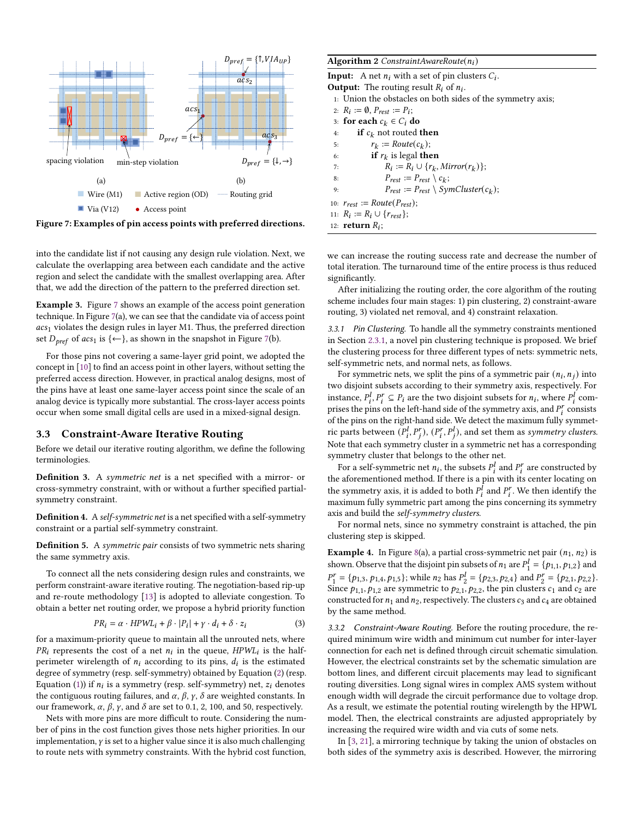<span id="page-4-0"></span>

Figure 7: Examples of pin access points with preferred directions.

into the candidate list if not causing any design rule violation. Next, we calculate the overlapping area between each candidate and the active region and select the candidate with the smallest overlapping area. After that, we add the direction of the pattern to the preferred direction set.

Example 3. Figure [7](#page-4-0) shows an example of the access point generation technique. In Figure [7\(](#page-4-0)a), we can see that the candidate via of access point  $acs<sub>1</sub>$  violates the design rules in layer M1. Thus, the preferred direction set  $D_{pref}$  of  $acs_1$  is  $\{\leftarrow\}$ , as shown in the snapshot in Figure [7\(](#page-4-0)b).

For those pins not covering a same-layer grid point, we adopted the concept in [\[10\]](#page-7-1) to find an access point in other layers, without setting the preferred access direction. However, in practical analog designs, most of the pins have at least one same-layer access point since the scale of an analog device is typically more substantial. The cross-layer access points occur when some small digital cells are used in a mixed-signal design.

#### 3.3 Constraint-Aware Iterative Routing

Before we detail our iterative routing algorithm, we define the following terminologies.

Definition 3. A symmetric net is a net specified with a mirror- or cross-symmetry constraint, with or without a further specified partialsymmetry constraint.

Definition 4. Aself-symmetric net is a net specified with a self-symmetry constraint or a partial self-symmetry constraint.

Definition 5. A symmetric pair consists of two symmetric nets sharing the same symmetry axis.

To connect all the nets considering design rules and constraints, we perform constraint-aware iterative routing. The negotiation-based rip-up and re-route methodology [\[13\]](#page-7-20) is adopted to alleviate congestion. To obtain a better net routing order, we propose a hybrid priority function

$$
PR_i = \alpha \cdot HPWL_i + \beta \cdot |P_i| + \gamma \cdot d_i + \delta \cdot z_i \tag{3}
$$

for a maximum-priority queue to maintain all the unrouted nets, where  $PR_i$  represents the cost of a net  $n_i$  in the queue,  $HPWL_i$  is the halfperimeter wirelength of  $n_i$  according to its pins,  $d_i$  is the estimated degree of symmetry (resp. self-symmetry) obtained by Equation [\(2\)](#page-3-2) (resp. Equation [\(1\)](#page-3-3)) if  $n_i$  is a symmetry (resp. self-symmetry) net,  $z_i$  denotes the contiguous routing failures, and  $\alpha$ ,  $\beta$ ,  $\gamma$ ,  $\delta$  are weighted constants. In our framework,  $\alpha$ ,  $\beta$ ,  $\gamma$ , and  $\delta$  are set to 0.1, 2, 100, and 50, respectively.

Nets with more pins are more difficult to route. Considering the number of pins in the cost function gives those nets higher priorities. In our implementation,  $\gamma$  is set to a higher value since it is also much challenging to route nets with symmetry constraints. With the hybrid cost function,

#### <span id="page-4-1"></span>Algorithm 2 ConstraintAwareRoute $(n_i)$

| <b>Input:</b> A net $n_i$ with a set of pin clusters $C_i$ . |
|--------------------------------------------------------------|
| <b>Output:</b> The routing result $R_i$ of $n_i$ .           |
| 1: Union the obstacles on both sides of the symmetry axis;   |
| 2: $R_i := \emptyset$ , $P_{rest} := P_i$ ;                  |
| 3: for each $c_k \in C_i$ do                                 |
| <b>if</b> $c_k$ not routed <b>then</b><br>4:                 |
| $r_k := Route(c_k);$<br>5:                                   |
| <b>if</b> $r_k$ is legal <b>then</b><br>6:                   |
| $R_i := R_i \cup \{r_k, Mirror(r_k)\};$<br>7:                |
| $P_{rest} := P_{rest} \setminus c_k$ ;<br>8:                 |
| $P_{rest} := P_{rest} \setminus SymCluster(c_k);$<br>9:      |
| 10: $r_{rest} := Route(P_{rest});$                           |
| 11: $R_i := R_i \cup \{r_{rest}\};$                          |
| 12: <b>return</b> $R_i$ ;                                    |

we can increase the routing success rate and decrease the number of total iteration. The turnaround time of the entire process is thus reduced significantly.

After initializing the routing order, the core algorithm of the routing scheme includes four main stages: 1) pin clustering, 2) constraint-aware routing, 3) violated net removal, and 4) constraint relaxation.

3.3.1 Pin Clustering. To handle all the symmetry constraints mentioned in Section [2.3.1,](#page-1-2) a novel pin clustering technique is proposed. We brief the clustering process for three different types of nets: symmetric nets, self-symmetric nets, and normal nets, as follows.

For symmetric nets, we split the pins of a symmetric pair  $(n_i, n_j)$  into two disjoint subsets according to their symmetry axis, respectively. For instance,  $P_i^l, P_i^r \subseteq P_i$  are the two disjoint subsets for  $n_i$ , where  $P_i^l$  comprises the pins on the left-hand side of the symmetry axis, and  $P_i^r$  consists of the pins on the right-hand side. We detect the maximum fully symmetric parts between  $(P_i^l, P_j^r)$ ,  $(P_i^r, P_i^l)$ , and set them as symmetry clusters. Note that each symmetry cluster in a symmetric net has a corresponding symmetry cluster that belongs to the other net.

For a self-symmetric net  $n_i$ , the subsets  $P_i^l$  and  $P_i^r$  are constructed by the aforementioned method. If there is a pin with its center locating on the symmetry axis, it is added to both  $P_i^{\hat{I}}$  and  $P_i^r$ . We then identify the maximum fully symmetric part among the pins concerning its symmetry axis and build the self-symmetry clusters.

For normal nets, since no symmetry constraint is attached, the pin clustering step is skipped.

**Example 4.** In Figure [8\(](#page-5-1)a), a partial cross-symmetric net pair  $(n_1, n_2)$  is shown. Observe that the disjoint pin subsets of  $n_1$  are  $P_1^{\dagger}$  $j_1^l = \{p_{1,1}, p_{1,2}\}$  and  $P_{i}^{r}$  $I_1^r = \{p_{1,3}, p_{1,4}, p_{1,5}\}$ ; while  $n_2$  has  $P_2^l$  $P_2^l = \{p_{2,3}, p_{2,4}\}$  and  $P_2^r$  $y_2^r = \{p_{2,1}, p_{2,2}\}.$ Since  $p_{1,1}, p_{1,2}$  are symmetric to  $p_{2,1}, p_{2,2}$ , the pin clusters  $c_1$  and  $c_2$  are constructed for  $n_1$  and  $n_2$ , respectively. The clusters  $c_3$  and  $c_4$  are obtained by the same method.

3.3.2 Constraint-Aware Routing. Before the routing procedure, the required minimum wire width and minimum cut number for inter-layer connection for each net is defined through circuit schematic simulation. However, the electrical constraints set by the schematic simulation are bottom lines, and different circuit placements may lead to significant routing diversities. Long signal wires in complex AMS system without enough width will degrade the circuit performance due to voltage drop. As a result, we estimate the potential routing wirelength by the HPWL model. Then, the electrical constraints are adjusted appropriately by increasing the required wire width and via cuts of some nets.

In [\[3,](#page-7-8) [21\]](#page-7-11), a mirroring technique by taking the union of obstacles on both sides of the symmetry axis is described. However, the mirroring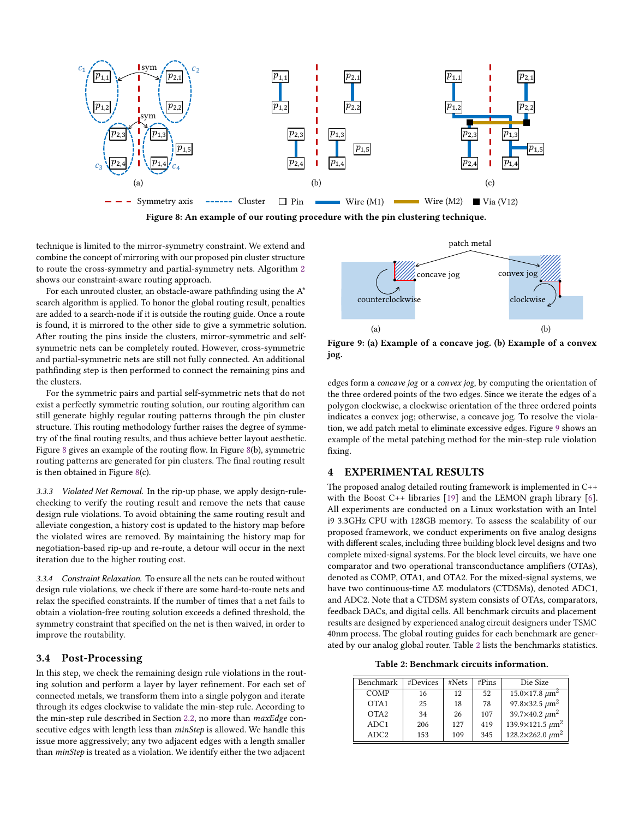<span id="page-5-1"></span>

Figure 8: An example of our routing procedure with the pin clustering technique.

technique is limited to the mirror-symmetry constraint. We extend and combine the concept of mirroring with our proposed pin cluster structure to route the cross-symmetry and partial-symmetry nets. Algorithm [2](#page-4-1) shows our constraint-aware routing approach.

For each unrouted cluster, an obstacle-aware pathfinding using the  $A^*$ search algorithm is applied. To honor the global routing result, penalties are added to a search-node if it is outside the routing guide. Once a route is found, it is mirrored to the other side to give a symmetric solution. After routing the pins inside the clusters, mirror-symmetric and selfsymmetric nets can be completely routed. However, cross-symmetric and partial-symmetric nets are still not fully connected. An additional pathfinding step is then performed to connect the remaining pins and the clusters.

For the symmetric pairs and partial self-symmetric nets that do not exist a perfectly symmetric routing solution, our routing algorithm can still generate highly regular routing patterns through the pin cluster structure. This routing methodology further raises the degree of symmetry of the final routing results, and thus achieve better layout aesthetic. Figure [8](#page-5-1) gives an example of the routing flow. In Figure [8\(](#page-5-1)b), symmetric routing patterns are generated for pin clusters. The final routing result is then obtained in Figure [8\(](#page-5-1)c).

3.3.3 Violated Net Removal. In the rip-up phase, we apply design-rulechecking to verify the routing result and remove the nets that cause design rule violations. To avoid obtaining the same routing result and alleviate congestion, a history cost is updated to the history map before the violated wires are removed. By maintaining the history map for negotiation-based rip-up and re-route, a detour will occur in the next iteration due to the higher routing cost.

3.3.4 Constraint Relaxation. To ensure all the nets can be routed without design rule violations, we check if there are some hard-to-route nets and relax the specified constraints. If the number of times that a net fails to obtain a violation-free routing solution exceeds a defined threshold, the symmetry constraint that specified on the net is then waived, in order to improve the routability.

#### 3.4 Post-Processing

In this step, we check the remaining design rule violations in the routing solution and perform a layer by layer refinement. For each set of connected metals, we transform them into a single polygon and iterate through its edges clockwise to validate the min-step rule. According to the min-step rule described in Section [2.2,](#page-1-3) no more than *maxEdge* consecutive edges with length less than minStep is allowed. We handle this issue more aggressively; any two adjacent edges with a length smaller than minStep is treated as a violation. We identify either the two adjacent

<span id="page-5-2"></span>

Figure 9: (a) Example of a concave jog. (b) Example of a convex jog.

edges form a concave jog or a convex jog, by computing the orientation of the three ordered points of the two edges. Since we iterate the edges of a polygon clockwise, a clockwise orientation of the three ordered points indicates a convex jog; otherwise, a concave jog. To resolve the violation, we add patch metal to eliminate excessive edges. Figure [9](#page-5-2) shows an example of the metal patching method for the min-step rule violation fixing.

## <span id="page-5-0"></span>4 EXPERIMENTAL RESULTS

The proposed analog detailed routing framework is implemented in C++ with the Boost C++ libraries [\[19\]](#page-7-21) and the LEMON graph library [\[6\]](#page-7-22). All experiments are conducted on a Linux workstation with an Intel i9 3.3GHz CPU with 128GB memory. To assess the scalability of our proposed framework, we conduct experiments on five analog designs with different scales, including three building block level designs and two complete mixed-signal systems. For the block level circuits, we have one comparator and two operational transconductance amplifiers (OTAs), denoted as COMP, OTA1, and OTA2. For the mixed-signal systems, we have two continuous-time ΔΣ modulators (CTDSMs), denoted ADC1, and ADC2. Note that a CTDSM system consists of OTAs, comparators, feedback DACs, and digital cells. All benchmark circuits and placement results are designed by experienced analog circuit designers under TSMC 40nm process. The global routing guides for each benchmark are generated by our analog global router. Table [2](#page-5-3) lists the benchmarks statistics.

Table 2: Benchmark circuits information.

<span id="page-5-3"></span>

| Benchmark        | #Devices | #Nets | #Pins | Die Size                         |
|------------------|----------|-------|-------|----------------------------------|
| COMP             | 16       | 12    | 52    | $15.0 \times 17.8 \ \mu m^2$     |
| OTA <sub>1</sub> | 25       | 18    | 78    | 97.8×32.5 $\mu$ m <sup>2</sup>   |
| OTA <sub>2</sub> | 34       | 26    | 107   | 39.7×40.2 $\mu$ m <sup>2</sup>   |
| ADC <sub>1</sub> | 206      | 127   | 419   | 139.9×121.5 $\mu$ m <sup>2</sup> |
| ADC2             | 153      | 109   | 345   | $128.2\times262.0 \ \mu m^2$     |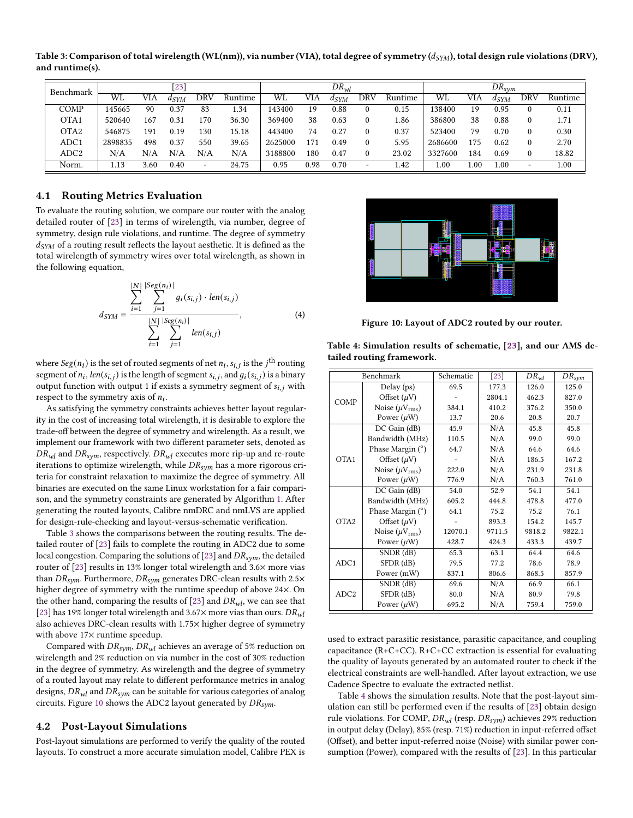<span id="page-6-0"></span>Table 3: Comparison of total wirelength (WL(nm)), via number (VIA), total degree of symmetry ( $d_{SYM}$ ), total design rule violations (DRV), and runtime(s).

| Benchmark        | [23     |      |           |     | $DR_{wl}$ |         |      |           | $DR_{sym}$               |         |         |      |           |          |         |
|------------------|---------|------|-----------|-----|-----------|---------|------|-----------|--------------------------|---------|---------|------|-----------|----------|---------|
|                  | WL      | VIA  | $d_{SYM}$ | DRV | Runtime   | WL      | VIA  | $d_{SYM}$ | DRV                      | Runtime | WL      | VIA  | $d_{SYM}$ | DRV      | Runtime |
| COMP             | 145665  | 90   | 0.37      | 83  | 1.34      | 143400  | 19   | 0.88      | $\mathbf{0}$             | 0.15    | 138400  | 19   | 0.95      | $\theta$ | 0.11    |
| OTA <sub>1</sub> | 520640  | 167  | 0.31      | 170 | 36.30     | 369400  | 38   | 0.63      | $\Omega$                 | 1.86    | 386800  | 38   | 0.88      | $\bf{0}$ | 1.71    |
| OTA2             | 546875  | 191  | 0.19      | 130 | 15.18     | 443400  | 74   | 0.27      | $\Omega$                 | 0.37    | 523400  | 79   | 0.70      | $\theta$ | 0.30    |
| ADC1             | 2898835 | 498  | 0.37      | 550 | 39.65     | 2625000 | 171  | 0.49      | $\Omega$                 | 5.95    | 2686600 | 175  | 0.62      | $\Omega$ | 2.70    |
| ADC2             | N/A     | N/A  | N/A       | N/A | N/A       | 3188800 | 180  | 0.47      | $\Omega$                 | 23.02   | 3327600 | 184  | 0.69      | $\Omega$ | 18.82   |
| Norm.            | 1.13    | 3.60 | 0.40      | -   | 24.75     | 0.95    | 0.98 | 0.70      | $\overline{\phantom{a}}$ | 1.42    | 00.1    | 1.00 | 00.1      | ۰        | 00.1    |

#### 4.1 Routing Metrics Evaluation

To evaluate the routing solution, we compare our router with the analog detailed router of [\[23\]](#page-7-23) in terms of wirelength, via number, degree of symmetry, design rule violations, and runtime. The degree of symmetry  $d_{SYM}$  of a routing result reflects the layout aesthetic. It is defined as the total wirelength of symmetry wires over total wirelength, as shown in the following equation,

$$
d_{SYM} = \frac{\sum_{i=1}^{|N|} \sum_{j=1}^{|Seg(n_i)|} g_i(s_{i,j}) \cdot len(s_{i,j})}{\sum_{i=1}^{|N|} \sum_{j=1}^{|Seg(n_i)|} len(s_{i,j})},
$$
(4)

where  $Seg(n_i)$  is the set of routed segments of net  $n_i, s_{i,j}$  is the  $j^{\text{th}}$  routing segment of  $n_i$ , len( $s_{i,j}$ ) is the length of segment  $s_{i,j}$ , and  $g_i(s_{i,j})$  is a binary output function with output 1 if exists a symmetry segment of  $s_{i,j}$  with respect to the symmetry axis of  $n_i$ .

As satisfying the symmetry constraints achieves better layout regularity in the cost of increasing total wirelength, it is desirable to explore the trade-off between the degree of symmetry and wirelength. As a result, we implement our framework with two different parameter sets, denoted as  $DR_{wl}$  and  $DR_{sym}$ , respectively.  $DR_{wl}$  executes more rip-up and re-route iterations to optimize wirelength, while  $DR_{sym}$  has a more rigorous criteria for constraint relaxation to maximize the degree of symmetry. All binaries are executed on the same Linux workstation for a fair comparison, and the symmetry constraints are generated by Algorithm [1.](#page-3-0) After generating the routed layouts, Calibre nmDRC and nmLVS are applied for design-rule-checking and layout-versus-schematic verification.

Table [3](#page-6-0) shows the comparisons between the routing results. The detailed router of [\[23\]](#page-7-23) fails to complete the routing in ADC2 due to some local congestion. Comparing the solutions of [\[23\]](#page-7-23) and  $DR_{sym}$ , the detailed router of [\[23\]](#page-7-23) results in 13% longer total wirelength and 3.6× more vias than  $DR_{sym}$ . Furthermore,  $DR_{sym}$  generates DRC-clean results with 2.5 $\times$ higher degree of symmetry with the runtime speedup of above 24×. On the other hand, comparing the results of [\[23\]](#page-7-23) and  $DR_{wl}$ , we can see that [\[23\]](#page-7-23) has 19% longer total wirelength and 3.67 $\times$  more vias than ours.  $DR_{wl}$ also achieves DRC-clean results with 1.75× higher degree of symmetry with above 17× runtime speedup.

Compared with  $DR_{sym}$ ,  $DR_{wl}$  achieves an average of 5% reduction on wirelength and 2% reduction on via number in the cost of 30% reduction in the degree of symmetry. As wirelength and the degree of symmetry of a routed layout may relate to different performance metrics in analog designs,  $DR_{wl}$  and  $DR_{sym}$  can be suitable for various categories of analog circuits. Figure [10](#page-6-1) shows the ADC2 layout generated by  $DR_{sym}$ .

#### 4.2 Post-Layout Simulations

Post-layout simulations are performed to verify the quality of the routed layouts. To construct a more accurate simulation model, Calibre PEX is

<span id="page-6-1"></span>

Figure 10: Layout of ADC2 routed by our router.

|                  | Benchmark                 | Schematic | 23     | $DR_{wl}$ | $DR_{sym}$ |  |
|------------------|---------------------------|-----------|--------|-----------|------------|--|
|                  | Delay (ps)                | 69.5      | 177.3  | 126.0     | 125.0      |  |
| COMP             | Offset $(\mu V)$          |           | 2804.1 | 462.3     | 827.0      |  |
|                  | Noise $(\mu V_{\rm rms})$ | 384.1     | 410.2  | 376.2     | 350.0      |  |
|                  | Power $(\mu W)$           | 13.7      | 20.6   | 20.8      | 20.7       |  |
|                  | $DC$ Gain $(dB)$          | 45.9      | N/A    | 45.8      | 45.8       |  |
|                  | Bandwidth (MHz)           | 110.5     | N/A    | 99.0      | 99.0       |  |
|                  | Phase Margin (°)          | 64.7      | N/A    | 64.6      | 64.6       |  |
| OTA1             | Offset $(\mu V)$          |           | N/A    | 186.5     | 167.2      |  |
|                  | Noise $(\mu V_{rms})$     | 222.0     | N/A    | 231.9     | 231.8      |  |
|                  | Power $(\mu W)$           | 776.9     | N/A    | 760.3     | 761.0      |  |
|                  | $DC$ Gain $(dB)$          | 54.0      | 52.9   | 54.1      | 54.1       |  |
|                  | Bandwidth (MHz)           | 605.2     | 444.8  | 478.8     | 477.0      |  |
|                  | Phase Margin $(°)$        | 64.1      | 75.2   | 75.2      | 76.1       |  |
| OTA <sub>2</sub> | Offset $(\mu V)$          |           | 893.3  | 154.2     | 145.7      |  |
|                  | Noise $(\mu V_{\rm rms})$ | 12070.1   | 9711.5 | 9818.2    | 9822.1     |  |
|                  | Power $(\mu W)$           | 428.7     | 424.3  | 433.3     | 439.7      |  |
|                  | SNDR (dB)                 | 65.3      | 63.1   | 64.4      | 64.6       |  |
| ADC1             | $SFDR$ $(dB)$             | 79.5      | 77.2   | 78.6      | 78.9       |  |
|                  | Power (mW)                | 837.1     | 806.6  | 868.5     | 857.9      |  |
|                  | SNDR (dB)                 | 69.6      | N/A    | 66.9      | 66.1       |  |
| ADC <sub>2</sub> | $SFDR$ $(dB)$             | 80.0      | N/A    | 80.9      | 79.8       |  |
|                  | Power $(\mu W)$           | 695.2     | N/A    | 759.4     | 759.0      |  |

<span id="page-6-2"></span>Table 4: Simulation results of schematic, [\[23\]](#page-7-23), and our AMS detailed routing framework.

used to extract parasitic resistance, parasitic capacitance, and coupling capacitance (R+C+CC). R+C+CC extraction is essential for evaluating the quality of layouts generated by an automated router to check if the electrical constraints are well-handled. After layout extraction, we use Cadence Spectre to evaluate the extracted netlist.

Table [4](#page-6-2) shows the simulation results. Note that the post-layout simulation can still be performed even if the results of [\[23\]](#page-7-23) obtain design rule violations. For COMP,  $DR_{wl}$  (resp.  $DR_{sym}$ ) achieves 29% reduction in output delay (Delay), 85% (resp. 71%) reduction in input-referred offset (Offset), and better input-referred noise (Noise) with similar power consumption (Power), compared with the results of [\[23\]](#page-7-23). In this particular